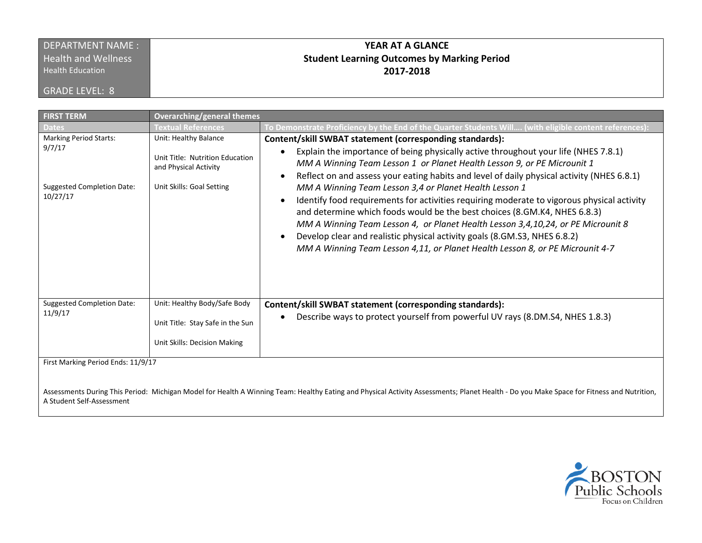## DEPARTMENT NAME : **Health and Wellness**

Health Education

GRADE LEVEL: 8

# **YEAR AT A GLANCE Student Learning Outcomes by Marking Period 2017-2018**

| <b>FIRST TERM</b>                                                                                                                                                                                                              | <b>Overarching/general themes</b>                                                                              |                                                                                                                                                                                                                                                                                                                                                                                                                                                                                                                                                                                                                                                                                                                                                                                                                 |  |  |
|--------------------------------------------------------------------------------------------------------------------------------------------------------------------------------------------------------------------------------|----------------------------------------------------------------------------------------------------------------|-----------------------------------------------------------------------------------------------------------------------------------------------------------------------------------------------------------------------------------------------------------------------------------------------------------------------------------------------------------------------------------------------------------------------------------------------------------------------------------------------------------------------------------------------------------------------------------------------------------------------------------------------------------------------------------------------------------------------------------------------------------------------------------------------------------------|--|--|
| <b>Dates</b>                                                                                                                                                                                                                   | <b>Textual References</b>                                                                                      | To Demonstrate Proficiency by the End of the Quarter Students Will (with eligible content references):                                                                                                                                                                                                                                                                                                                                                                                                                                                                                                                                                                                                                                                                                                          |  |  |
| <b>Marking Period Starts:</b><br>9/7/17<br><b>Suggested Completion Date:</b><br>10/27/17                                                                                                                                       | Unit: Healthy Balance<br>Unit Title: Nutrition Education<br>and Physical Activity<br>Unit Skills: Goal Setting | Content/skill SWBAT statement (corresponding standards):<br>Explain the importance of being physically active throughout your life (NHES 7.8.1)<br>MM A Winning Team Lesson 1 or Planet Health Lesson 9, or PE Microunit 1<br>Reflect on and assess your eating habits and level of daily physical activity (NHES 6.8.1)<br>MM A Winning Team Lesson 3,4 or Planet Health Lesson 1<br>Identify food requirements for activities requiring moderate to vigorous physical activity<br>and determine which foods would be the best choices (8.GM.K4, NHES 6.8.3)<br>MM A Winning Team Lesson 4, or Planet Health Lesson 3,4,10,24, or PE Microunit 8<br>Develop clear and realistic physical activity goals (8.GM.S3, NHES 6.8.2)<br>MM A Winning Team Lesson 4,11, or Planet Health Lesson 8, or PE Microunit 4-7 |  |  |
| <b>Suggested Completion Date:</b><br>11/9/17                                                                                                                                                                                   | Unit: Healthy Body/Safe Body<br>Unit Title: Stay Safe in the Sun<br>Unit Skills: Decision Making               | Content/skill SWBAT statement (corresponding standards):<br>Describe ways to protect yourself from powerful UV rays (8.DM.S4, NHES 1.8.3)                                                                                                                                                                                                                                                                                                                                                                                                                                                                                                                                                                                                                                                                       |  |  |
|                                                                                                                                                                                                                                |                                                                                                                |                                                                                                                                                                                                                                                                                                                                                                                                                                                                                                                                                                                                                                                                                                                                                                                                                 |  |  |
| First Marking Period Ends: 11/9/17<br>Assessments During This Period: Michigan Model for Health A Winning Team: Healthy Eating and Physical Activity Assessments; Planet Health - Do you Make Space for Fitness and Nutrition, |                                                                                                                |                                                                                                                                                                                                                                                                                                                                                                                                                                                                                                                                                                                                                                                                                                                                                                                                                 |  |  |

A Student Self-Assessment

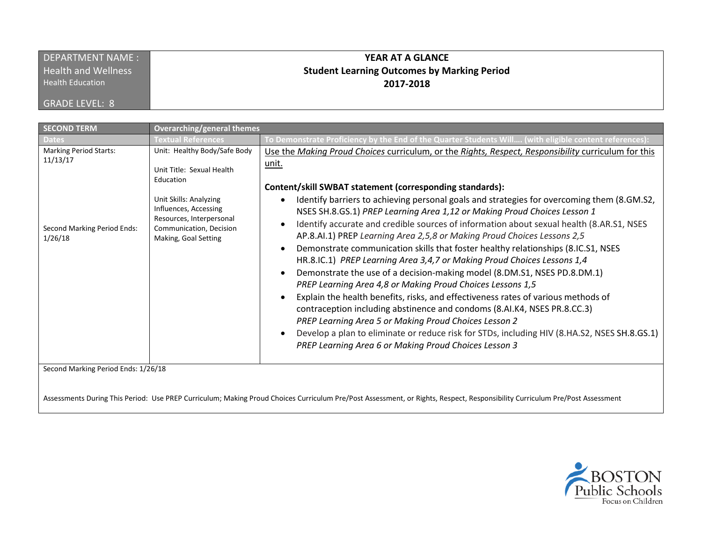| <b>DEPARTMENT NAME:</b>    | YEAR AT A GLANCE                                   |
|----------------------------|----------------------------------------------------|
| <b>Health and Wellness</b> | <b>Student Learning Outcomes by Marking Period</b> |
| <b>Health Education</b>    | 2017-2018                                          |
| GRADE LEVEL: 8             |                                                    |

| <b>SECOND TERM</b>                                                                  | <b>Overarching/general themes</b>                                                                                                                                                                        |                                                                                                                                                                                                                                                                                                                                                                                                                                                                                                                                                                                                                                                                                                                                                                                                                                                                                                                                                                                                      |
|-------------------------------------------------------------------------------------|----------------------------------------------------------------------------------------------------------------------------------------------------------------------------------------------------------|------------------------------------------------------------------------------------------------------------------------------------------------------------------------------------------------------------------------------------------------------------------------------------------------------------------------------------------------------------------------------------------------------------------------------------------------------------------------------------------------------------------------------------------------------------------------------------------------------------------------------------------------------------------------------------------------------------------------------------------------------------------------------------------------------------------------------------------------------------------------------------------------------------------------------------------------------------------------------------------------------|
|                                                                                     | Textual References                                                                                                                                                                                       | To Demonstrate Proficiency by the End of the Quarter Students Will (with eligible content references)                                                                                                                                                                                                                                                                                                                                                                                                                                                                                                                                                                                                                                                                                                                                                                                                                                                                                                |
| <b>Marking Period Starts:</b><br>11/13/17<br>Second Marking Period Ends:<br>1/26/18 | Unit: Healthy Body/Safe Body<br>Unit Title: Sexual Health<br>Education<br>Unit Skills: Analyzing<br>Influences, Accessing<br>Resources, Interpersonal<br>Communication, Decision<br>Making, Goal Setting | Use the Making Proud Choices curriculum, or the Rights, Respect, Responsibility curriculum for this<br>unit.<br>Content/skill SWBAT statement (corresponding standards):<br>Identify barriers to achieving personal goals and strategies for overcoming them (8.GM.S2,<br>NSES SH.8.GS.1) PREP Learning Area 1,12 or Making Proud Choices Lesson 1<br>Identify accurate and credible sources of information about sexual health (8.AR.S1, NSES<br>AP.8.AI.1) PREP Learning Area 2,5,8 or Making Proud Choices Lessons 2,5<br>Demonstrate communication skills that foster healthy relationships (8.IC.S1, NSES<br>HR.8.IC.1) PREP Learning Area 3,4,7 or Making Proud Choices Lessons 1,4<br>Demonstrate the use of a decision-making model (8.DM.S1, NSES PD.8.DM.1)<br>PREP Learning Area 4,8 or Making Proud Choices Lessons 1,5<br>Explain the health benefits, risks, and effectiveness rates of various methods of<br>contraception including abstinence and condoms (8.AI.K4, NSES PR.8.CC.3) |
| Second Marking Period Ends: 1/26/18                                                 |                                                                                                                                                                                                          | PREP Learning Area 5 or Making Proud Choices Lesson 2<br>Develop a plan to eliminate or reduce risk for STDs, including HIV (8.HA.S2, NSES SH.8.GS.1)<br>PREP Learning Area 6 or Making Proud Choices Lesson 3                                                                                                                                                                                                                                                                                                                                                                                                                                                                                                                                                                                                                                                                                                                                                                                       |

Assessments During This Period: Use PREP Curriculum; Making Proud Choices Curriculum Pre/Post Assessment, or Rights, Respect, Responsibility Curriculum Pre/Post Assessment

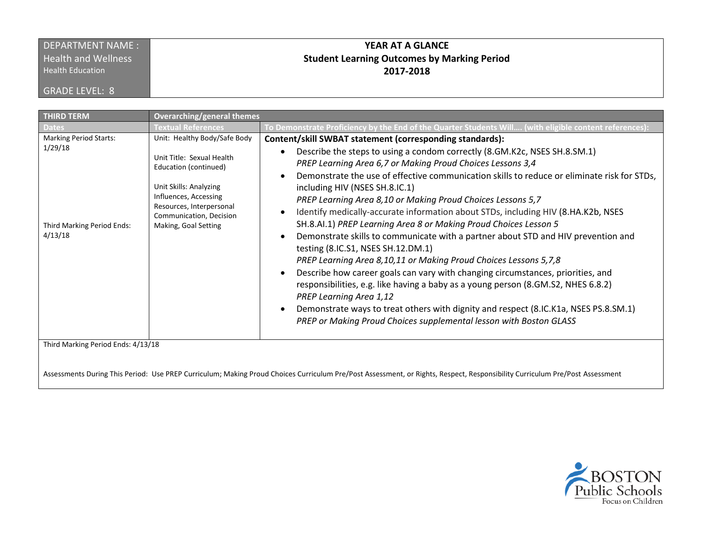### DEPARTMENT NAME : **Health and Wellness**

Health Education

GRADE LEVEL: 8

## **YEAR AT A GLANCE Student Learning Outcomes by Marking Period 2017-2018**

| <b>THIRD TERM</b>                                                                 | <b>Overarching/general themes</b>                                                                                                                                                                                    |                                                                                                                                                                                                                                                                                                                                                                                                                                                                                                                                                                                                                                                                                                                                                                                                                                                                                                                                                                                                                                                                                                                                     |  |  |
|-----------------------------------------------------------------------------------|----------------------------------------------------------------------------------------------------------------------------------------------------------------------------------------------------------------------|-------------------------------------------------------------------------------------------------------------------------------------------------------------------------------------------------------------------------------------------------------------------------------------------------------------------------------------------------------------------------------------------------------------------------------------------------------------------------------------------------------------------------------------------------------------------------------------------------------------------------------------------------------------------------------------------------------------------------------------------------------------------------------------------------------------------------------------------------------------------------------------------------------------------------------------------------------------------------------------------------------------------------------------------------------------------------------------------------------------------------------------|--|--|
| Dates                                                                             | <b>Textual References</b>                                                                                                                                                                                            | (with eligible content references) To Demonstrate Polommers) To Demonstrate Polommers (To Demonstrate To Demon                                                                                                                                                                                                                                                                                                                                                                                                                                                                                                                                                                                                                                                                                                                                                                                                                                                                                                                                                                                                                      |  |  |
| <b>Marking Period Starts:</b><br>1/29/18<br>Third Marking Period Ends:<br>4/13/18 | Unit: Healthy Body/Safe Body<br>Unit Title: Sexual Health<br>Education (continued)<br>Unit Skills: Analyzing<br>Influences, Accessing<br>Resources, Interpersonal<br>Communication, Decision<br>Making, Goal Setting | Content/skill SWBAT statement (corresponding standards):<br>Describe the steps to using a condom correctly (8.GM.K2c, NSES SH.8.SM.1)<br>PREP Learning Area 6,7 or Making Proud Choices Lessons 3,4<br>Demonstrate the use of effective communication skills to reduce or eliminate risk for STDs,<br>including HIV (NSES SH.8.IC.1)<br>PREP Learning Area 8,10 or Making Proud Choices Lessons 5,7<br>Identify medically-accurate information about STDs, including HIV (8.HA.K2b, NSES<br>SH.8.AI.1) PREP Learning Area 8 or Making Proud Choices Lesson 5<br>Demonstrate skills to communicate with a partner about STD and HIV prevention and<br>testing (8.IC.S1, NSES SH.12.DM.1)<br>PREP Learning Area 8,10,11 or Making Proud Choices Lessons 5,7,8<br>Describe how career goals can vary with changing circumstances, priorities, and<br>responsibilities, e.g. like having a baby as a young person (8.GM.S2, NHES 6.8.2)<br><b>PREP Learning Area 1,12</b><br>Demonstrate ways to treat others with dignity and respect (8.IC.K1a, NSES PS.8.SM.1)<br>PREP or Making Proud Choices supplemental lesson with Boston GLASS |  |  |
| Third Marking Period Ends: 4/13/18                                                |                                                                                                                                                                                                                      |                                                                                                                                                                                                                                                                                                                                                                                                                                                                                                                                                                                                                                                                                                                                                                                                                                                                                                                                                                                                                                                                                                                                     |  |  |

Assessments During This Period: Use PREP Curriculum; Making Proud Choices Curriculum Pre/Post Assessment, or Rights, Respect, Responsibility Curriculum Pre/Post Assessment